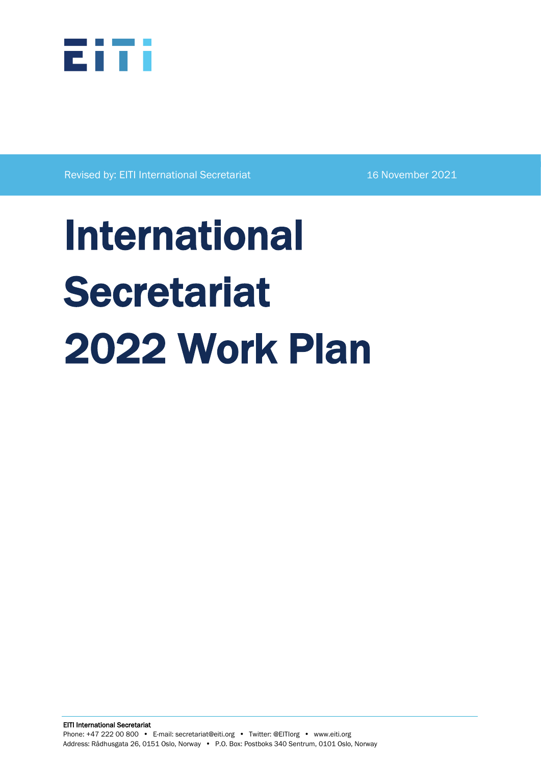

Revised by: EITI International Secretariat 16 November 2021

# International **Secretariat** 2022 Work Plan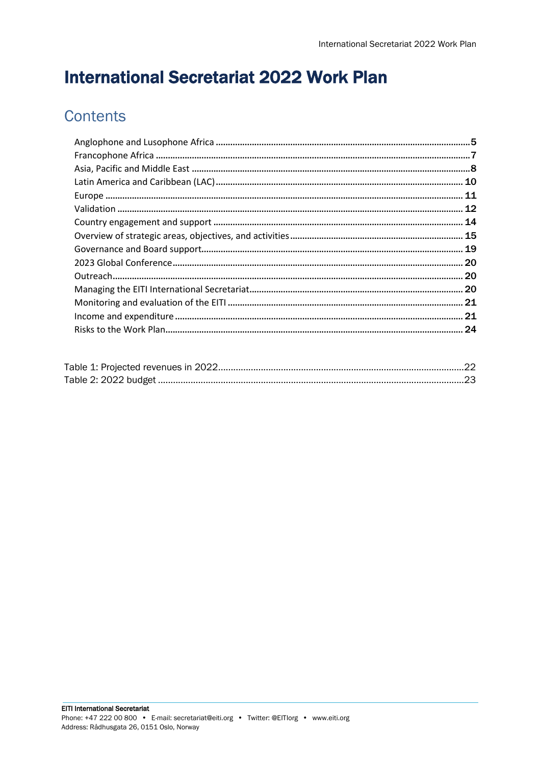# **International Secretariat 2022 Work Plan**

# **Contents**

| 12 |
|----|
|    |
|    |
|    |
|    |
|    |
|    |
|    |
|    |
| 24 |
|    |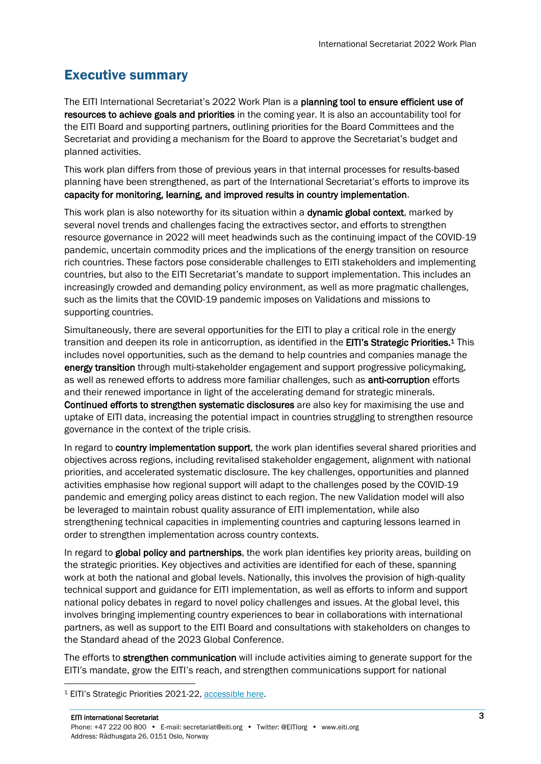# Executive summary

The EITI International Secretariat's 2022 Work Plan is a planning tool to ensure efficient use of resources to achieve goals and priorities in the coming year. It is also an accountability tool for the EITI Board and supporting partners, outlining priorities for the Board Committees and the Secretariat and providing a mechanism for the Board to approve the Secretariat's budget and planned activities.

This work plan differs from those of previous years in that internal processes for results-based planning have been strengthened, as part of the International Secretariat's efforts to improve its capacity for monitoring, learning, and improved results in country implementation.

This work plan is also noteworthy for its situation within a **dynamic global context**, marked by several novel trends and challenges facing the extractives sector, and efforts to strengthen resource governance in 2022 will meet headwinds such as the continuing impact of the COVID-19 pandemic, uncertain commodity prices and the implications of the energy transition on resource rich countries. These factors pose considerable challenges to EITI stakeholders and implementing countries, but also to the EITI Secretariat's mandate to support implementation. This includes an increasingly crowded and demanding policy environment, as well as more pragmatic challenges, such as the limits that the COVID-19 pandemic imposes on Validations and missions to supporting countries.

Simultaneously, there are several opportunities for the EITI to play a critical role in the energy transition and deepen its role in anticorruption, as identified in the EITI's Strategic Priorities.<sup>1</sup> This includes novel opportunities, such as the demand to help countries and companies manage the energy transition through multi-stakeholder engagement and support progressive policymaking, as well as renewed efforts to address more familiar challenges, such as **anti-corruption** efforts and their renewed importance in light of the accelerating demand for strategic minerals. Continued efforts to strengthen systematic disclosures are also key for maximising the use and uptake of EITI data, increasing the potential impact in countries struggling to strengthen resource governance in the context of the triple crisis.

In regard to country implementation support, the work plan identifies several shared priorities and objectives across regions, including revitalised stakeholder engagement, alignment with national priorities, and accelerated systematic disclosure. The key challenges, opportunities and planned activities emphasise how regional support will adapt to the challenges posed by the COVID-19 pandemic and emerging policy areas distinct to each region. The new Validation model will also be leveraged to maintain robust quality assurance of EITI implementation, while also strengthening technical capacities in implementing countries and capturing lessons learned in order to strengthen implementation across country contexts.

In regard to global policy and partnerships, the work plan identifies key priority areas, building on the strategic priorities. Key objectives and activities are identified for each of these, spanning work at both the national and global levels. Nationally, this involves the provision of high-quality technical support and guidance for EITI implementation, as well as efforts to inform and support national policy debates in regard to novel policy challenges and issues. At the global level, this involves bringing implementing country experiences to bear in collaborations with international partners, as well as support to the EITI Board and consultations with stakeholders on changes to the Standard ahead of the 2023 Global Conference.

The efforts to strengthen communication will include activities aiming to generate support for the EITI's mandate, grow the EITI's reach, and strengthen communications support for national

<sup>1</sup> EITI's Strategic Priorities 2021-22[, accessible here.](https://eiti.org/files/documents/eitis_2021-2022_strategic_priorities_final.pdf)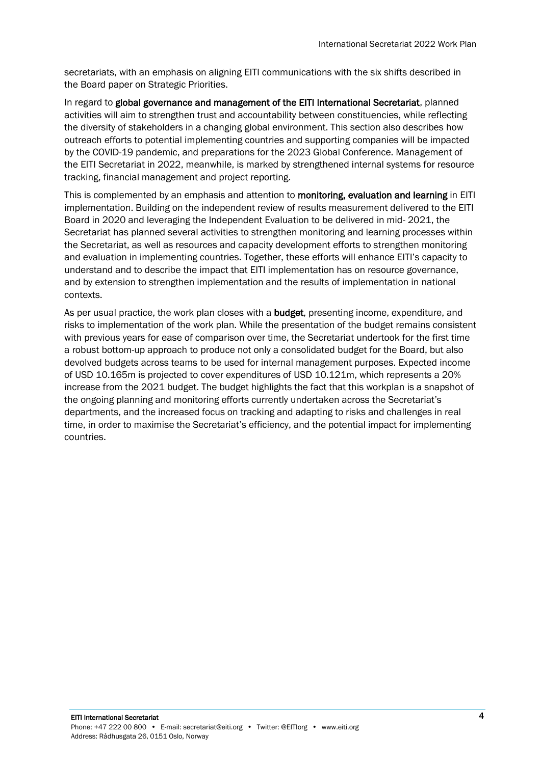secretariats, with an emphasis on aligning EITI communications with the six shifts described in the Board paper on Strategic Priorities.

In regard to global governance and management of the EITI International Secretariat, planned activities will aim to strengthen trust and accountability between constituencies, while reflecting the diversity of stakeholders in a changing global environment. This section also describes how outreach efforts to potential implementing countries and supporting companies will be impacted by the COVID-19 pandemic, and preparations for the 2023 Global Conference. Management of the EITI Secretariat in 2022, meanwhile, is marked by strengthened internal systems for resource tracking, financial management and project reporting.

This is complemented by an emphasis and attention to monitoring, evaluation and learning in EITI implementation. Building on the independent review of results measurement delivered to the EITI Board in 2020 and leveraging the Independent Evaluation to be delivered in mid- 2021, the Secretariat has planned several activities to strengthen monitoring and learning processes within the Secretariat, as well as resources and capacity development efforts to strengthen monitoring and evaluation in implementing countries. Together, these efforts will enhance EITI's capacity to understand and to describe the impact that EITI implementation has on resource governance, and by extension to strengthen implementation and the results of implementation in national contexts.

As per usual practice, the work plan closes with a **budget**, presenting income, expenditure, and risks to implementation of the work plan. While the presentation of the budget remains consistent with previous years for ease of comparison over time, the Secretariat undertook for the first time a robust bottom-up approach to produce not only a consolidated budget for the Board, but also devolved budgets across teams to be used for internal management purposes. Expected income of USD 10.165m is projected to cover expenditures of USD 10.121m, which represents a 20% increase from the 2021 budget. The budget highlights the fact that this workplan is a snapshot of the ongoing planning and monitoring efforts currently undertaken across the Secretariat's departments, and the increased focus on tracking and adapting to risks and challenges in real time, in order to maximise the Secretariat's efficiency, and the potential impact for implementing countries.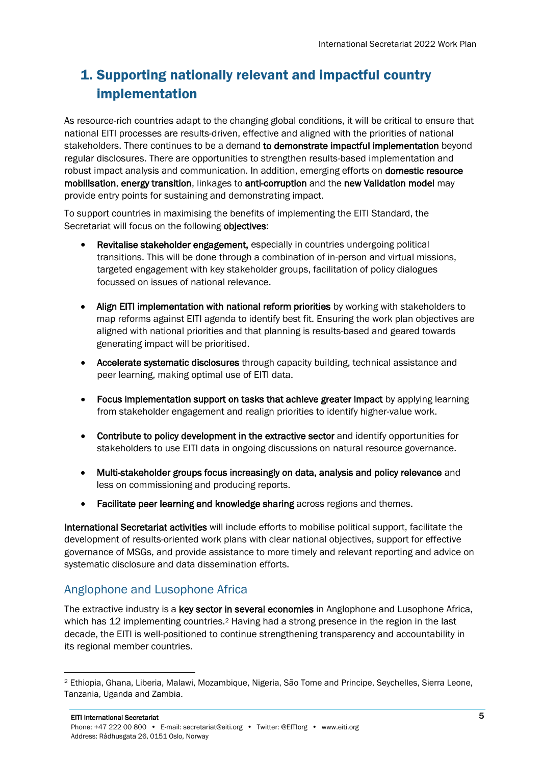# 1. Supporting nationally relevant and impactful country implementation

As resource-rich countries adapt to the changing global conditions, it will be critical to ensure that national EITI processes are results-driven, effective and aligned with the priorities of national stakeholders. There continues to be a demand to demonstrate impactful implementation beyond regular disclosures. There are opportunities to strengthen results-based implementation and robust impact analysis and communication. In addition, emerging efforts on **domestic resource** mobilisation, energy transition, linkages to anti-corruption and the new Validation model may provide entry points for sustaining and demonstrating impact.

To support countries in maximising the benefits of implementing the EITI Standard, the Secretariat will focus on the following objectives:

- Revitalise stakeholder engagement, especially in countries undergoing political transitions. This will be done through a combination of in-person and virtual missions, targeted engagement with key stakeholder groups, facilitation of policy dialogues focussed on issues of national relevance.
- Align EITI implementation with national reform priorities by working with stakeholders to map reforms against EITI agenda to identify best fit. Ensuring the work plan objectives are aligned with national priorities and that planning is results-based and geared towards generating impact will be prioritised.
- Accelerate systematic disclosures through capacity building, technical assistance and peer learning, making optimal use of EITI data.
- Focus implementation support on tasks that achieve greater impact by applying learning from stakeholder engagement and realign priorities to identify higher-value work.
- Contribute to policy development in the extractive sector and identify opportunities for stakeholders to use EITI data in ongoing discussions on natural resource governance.
- Multi-stakeholder groups focus increasingly on data, analysis and policy relevance and less on commissioning and producing reports.
- Facilitate peer learning and knowledge sharing across regions and themes.

International Secretariat activities will include efforts to mobilise political support, facilitate the development of results-oriented work plans with clear national objectives, support for effective governance of MSGs, and provide assistance to more timely and relevant reporting and advice on systematic disclosure and data dissemination efforts.

## <span id="page-4-0"></span>Anglophone and Lusophone Africa

The extractive industry is a key sector in several economies in Anglophone and Lusophone Africa, which has 12 implementing countries.<sup>2</sup> Having had a strong presence in the region in the last decade, the EITI is well-positioned to continue strengthening transparency and accountability in its regional member countries.

<sup>2</sup> Ethiopia, Ghana, Liberia, Malawi, Mozambique, Nigeria, São Tome and Principe, Seychelles, Sierra Leone, Tanzania, Uganda and Zambia.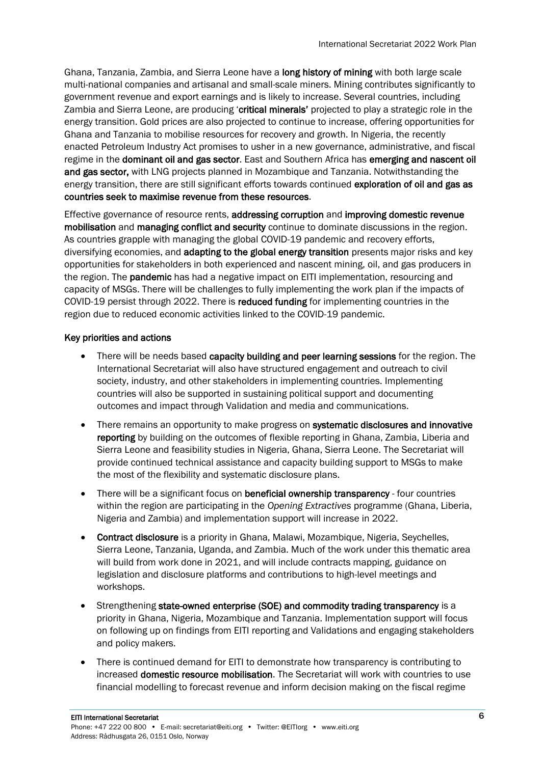Ghana, Tanzania, Zambia, and Sierra Leone have a long history of mining with both large scale multi-national companies and artisanal and small-scale miners. Mining contributes significantly to government revenue and export earnings and is likely to increase. Several countries, including Zambia and Sierra Leone, are producing 'critical minerals' projected to play a strategic role in the energy transition. Gold prices are also projected to continue to increase, offering opportunities for Ghana and Tanzania to mobilise resources for recovery and growth. In Nigeria, the recently enacted Petroleum Industry Act promises to usher in a new governance, administrative, and fiscal regime in the dominant oil and gas sector. East and Southern Africa has emerging and nascent oil and gas sector, with LNG projects planned in Mozambique and Tanzania. Notwithstanding the energy transition, there are still significant efforts towards continued exploration of oil and gas as countries seek to maximise revenue from these resources.

Effective governance of resource rents, addressing corruption and improving domestic revenue mobilisation and managing conflict and security continue to dominate discussions in the region. As countries grapple with managing the global COVID-19 pandemic and recovery efforts, diversifying economies, and adapting to the global energy transition presents major risks and key opportunities for stakeholders in both experienced and nascent mining, oil, and gas producers in the region. The **pandemic** has had a negative impact on EITI implementation, resourcing and capacity of MSGs. There will be challenges to fully implementing the work plan if the impacts of COVID-19 persist through 2022. There is reduced funding for implementing countries in the region due to reduced economic activities linked to the COVID-19 pandemic.

#### Key priorities and actions

- There will be needs based capacity building and peer learning sessions for the region. The International Secretariat will also have structured engagement and outreach to civil society, industry, and other stakeholders in implementing countries. Implementing countries will also be supported in sustaining political support and documenting outcomes and impact through Validation and media and communications.
- There remains an opportunity to make progress on systematic disclosures and innovative reporting by building on the outcomes of flexible reporting in Ghana, Zambia, Liberia and Sierra Leone and feasibility studies in Nigeria, Ghana, Sierra Leone. The Secretariat will provide continued technical assistance and capacity building support to MSGs to make the most of the flexibility and systematic disclosure plans.
- There will be a significant focus on **beneficial ownership transparency** four countries within the region are participating in the *Opening Extractives* programme (Ghana, Liberia, Nigeria and Zambia) and implementation support will increase in 2022.
- Contract disclosure is a priority in Ghana, Malawi, Mozambique, Nigeria, Seychelles, Sierra Leone, Tanzania, Uganda, and Zambia. Much of the work under this thematic area will build from work done in 2021, and will include contracts mapping, guidance on legislation and disclosure platforms and contributions to high-level meetings and workshops.
- Strengthening state-owned enterprise (SOE) and commodity trading transparency is a priority in Ghana, Nigeria, Mozambique and Tanzania. Implementation support will focus on following up on findings from EITI reporting and Validations and engaging stakeholders and policy makers.
- There is continued demand for EITI to demonstrate how transparency is contributing to increased domestic resource mobilisation. The Secretariat will work with countries to use financial modelling to forecast revenue and inform decision making on the fiscal regime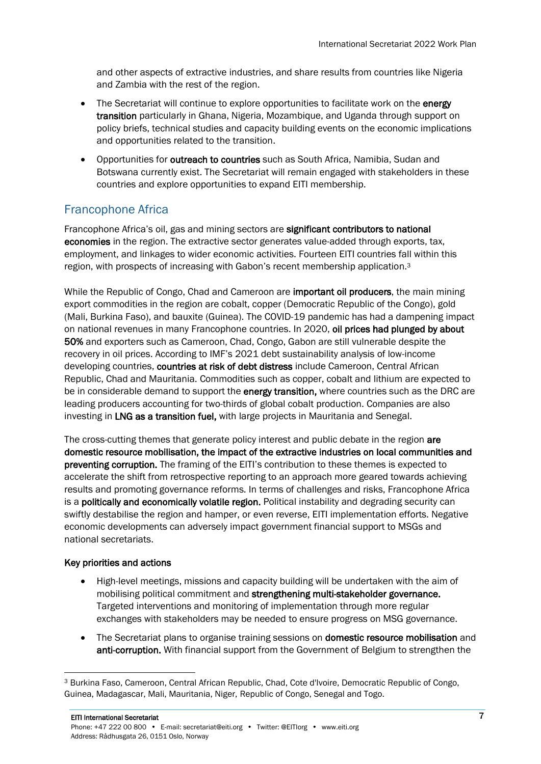and other aspects of extractive industries, and share results from countries like Nigeria and Zambia with the rest of the region.

- The Secretariat will continue to explore opportunities to facilitate work on the energy transition particularly in Ghana, Nigeria, Mozambique, and Uganda through support on policy briefs, technical studies and capacity building events on the economic implications and opportunities related to the transition.
- Opportunities for outreach to countries such as South Africa, Namibia, Sudan and Botswana currently exist. The Secretariat will remain engaged with stakeholders in these countries and explore opportunities to expand EITI membership.

# <span id="page-6-0"></span>Francophone Africa

Francophone Africa's oil, gas and mining sectors are significant contributors to national economies in the region. The extractive sector generates value-added through exports, tax, employment, and linkages to wider economic activities. Fourteen EITI countries fall within this region, with prospects of increasing with Gabon's recent membership application.<sup>3</sup>

While the Republic of Congo, Chad and Cameroon are important oil producers, the main mining export commodities in the region are cobalt, copper (Democratic Republic of the Congo), gold (Mali, Burkina Faso), and bauxite (Guinea). The COVID-19 pandemic has had a dampening impact on national revenues in many Francophone countries. In 2020, oil prices had [plunged by about](https://www.imf.org/en/Publications/REO/SSA/Issues/2020/04/01/sreo0420)  [50%](https://www.imf.org/en/Publications/REO/SSA/Issues/2020/04/01/sreo0420) and exporters such as Cameroon, Chad, Congo, Gabon are still vulnerable despite the recovery in oil prices. According to [IMF's 20](https://www.imf.org/external/Pubs/ft/dsa/DSAlist.pdf)[21](https://www.imf.org/external/Pubs/ft/dsa/DSAlist.pdf) [debt sustainability analysis o](https://www.imf.org/external/Pubs/ft/dsa/DSAlist.pdf)f low-income developing countries, countries at risk of debt distress include Cameroon, Central African Republic, Chad and Mauritania. Commodities such as copper, cobalt and lithium are expected to be in considerable demand to support the energy transition, where countries such as the DRC are leading producers accounting for two-thirds of global cobalt production. Companies are also investing in LNG as a transition fuel, with large projects in Mauritania and Senegal.

The cross-cutting themes that generate policy interest and public debate in the region are domestic resource mobilisation, the impact of the extractive industries on local communities and preventing corruption. The framing of the EITI's contribution to these themes is expected to accelerate the shift from retrospective reporting to an approach more geared towards achieving results and promoting governance reforms. In terms of challenges and risks, Francophone Africa is a **politically and economically volatile region.** Political instability and degrading security can swiftly destabilise the region and hamper, or even reverse, EITI implementation efforts. Negative economic developments can adversely impact government financial support to MSGs and national secretariats.

#### Key priorities and actions

- High-level meetings, missions and capacity building will be undertaken with the aim of mobilising political commitment and strengthening multi-stakeholder governance. Targeted interventions and monitoring of implementation through more regular exchanges with stakeholders may be needed to ensure progress on MSG governance.
- The Secretariat plans to organise training sessions on **domestic resource mobilisation** and anti-corruption. With financial support from the Government of Belgium to strengthen the

<sup>3</sup> Burkina Faso, Cameroon, Central African Republic, Chad, Cote d'Ivoire, Democratic Republic of Congo, Guinea, Madagascar, Mali, Mauritania, Niger, Republic of Congo, Senegal and Togo.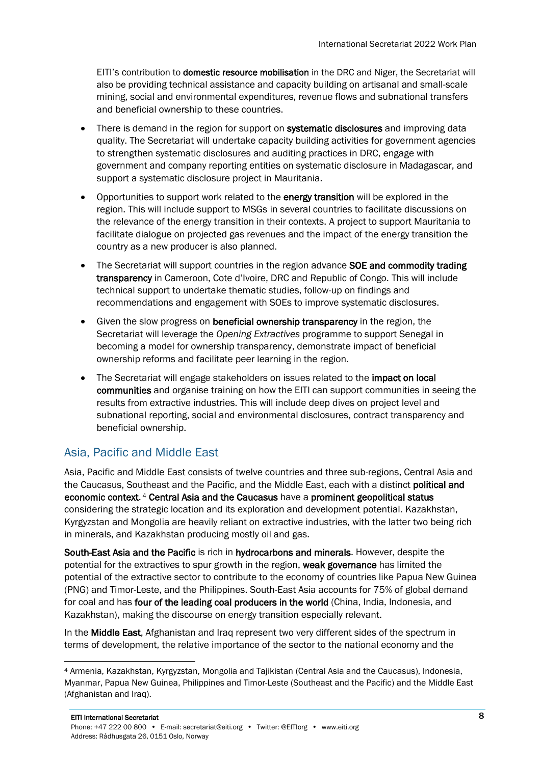EITI's contribution to domestic resource mobilisation in the DRC and Niger, the Secretariat will also be providing technical assistance and capacity building on artisanal and small-scale mining, social and environmental expenditures, revenue flows and subnational transfers and beneficial ownership to these countries.

- There is demand in the region for support on systematic disclosures and improving data quality. The Secretariat will undertake capacity building activities for government agencies to strengthen systematic disclosures and auditing practices in DRC, engage with government and company reporting entities on systematic disclosure in Madagascar, and support a systematic disclosure project in Mauritania.
- Opportunities to support work related to the energy transition will be explored in the region. This will include support to MSGs in several countries to facilitate discussions on the relevance of the energy transition in their contexts. A project to support Mauritania to facilitate dialogue on projected gas revenues and the impact of the energy transition the country as a new producer is also planned.
- The Secretariat will support countries in the region advance SOE and commodity trading transparency in Cameroon, Cote d'Ivoire, DRC and Republic of Congo. This will include technical support to undertake thematic studies, follow-up on findings and recommendations and engagement with SOEs to improve systematic disclosures.
- Given the slow progress on beneficial ownership transparency in the region, the Secretariat will leverage the *Opening Extractives* programme to support Senegal in becoming a model for ownership transparency, demonstrate impact of beneficial ownership reforms and facilitate peer learning in the region.
- The Secretariat will engage stakeholders on issues related to the impact on local communities and organise training on how the EITI can support communities in seeing the results from extractive industries. This will include deep dives on project level and subnational reporting, social and environmental disclosures, contract transparency and beneficial ownership.

# <span id="page-7-0"></span>Asia, Pacific and Middle East

Asia, Pacific and Middle East consists of twelve countries and three sub-regions, Central Asia and the Caucasus, Southeast and the Pacific, and the Middle East, each with a distinct political and economic context.<sup>4</sup> Central Asia and the Caucasus have a prominent geopolitical status considering the strategic location and its exploration and development potential. Kazakhstan, Kyrgyzstan and Mongolia are heavily reliant on extractive industries, with the latter two being rich in minerals, and Kazakhstan producing mostly oil and gas.

South-East Asia and the Pacific is rich in hydrocarbons and minerals. However, despite the potential for the extractives to spur growth in the region, **weak governance** has limited the potential of the extractive sector to contribute to the economy of countries like Papua New Guinea (PNG) and Timor-Leste, and the Philippines. South-East Asia accounts for 75% of global demand for coal and has four of the leading coal producers in the world (China, India, Indonesia, and Kazakhstan), making the discourse on energy transition especially relevant.

In the Middle East, Afghanistan and Iraq represent two very different sides of the spectrum in terms of development, the relative importance of the sector to the national economy and the

<sup>4</sup> Armenia, Kazakhstan, Kyrgyzstan, Mongolia and Tajikistan (Central Asia and the Caucasus), Indonesia, Myanmar, Papua New Guinea, Philippines and Timor-Leste (Southeast and the Pacific) and the Middle East (Afghanistan and Iraq).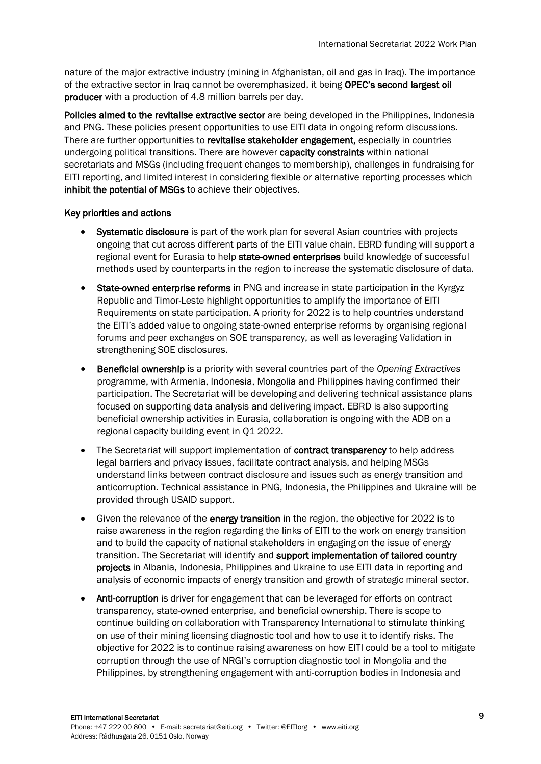nature of the major extractive industry (mining in Afghanistan, oil and gas in Iraq). The importance of the extractive sector in Iraq cannot be overemphasized, it being OPEC's second largest oil producer with a production of 4.8 million barrels per day.

Policies aimed to the revitalise extractive sector are being developed in the Philippines, Indonesia and PNG. These policies present opportunities to use EITI data in ongoing reform discussions. There are further opportunities to revitalise stakeholder engagement, especially in countries undergoing political transitions. There are however capacity constraints within national secretariats and MSGs (including frequent changes to membership), challenges in fundraising for EITI reporting, and limited interest in considering flexible or alternative reporting processes which inhibit the potential of MSGs to achieve their objectives.

#### Key priorities and actions

- Systematic disclosure is part of the work plan for several Asian countries with projects ongoing that cut across different parts of the EITI value chain. EBRD funding will support a regional event for Eurasia to help state-owned enterprises build knowledge of successful methods used by counterparts in the region to increase the systematic disclosure of data.
- State-owned enterprise reforms in PNG and increase in state participation in the Kyrgyz Republic and Timor-Leste highlight opportunities to amplify the importance of EITI Requirements on state participation. A priority for 2022 is to help countries understand the EITI's added value to ongoing state-owned enterprise reforms by organising regional forums and peer exchanges on SOE transparency, as well as leveraging Validation in strengthening SOE disclosures.
- Beneficial ownership is a priority with several countries part of the *Opening Extractives* programme, with Armenia, Indonesia, Mongolia and Philippines having confirmed their participation. The Secretariat will be developing and delivering technical assistance plans focused on supporting data analysis and delivering impact. EBRD is also supporting beneficial ownership activities in Eurasia, collaboration is ongoing with the ADB on a regional capacity building event in Q1 2022.
- The Secretariat will support implementation of **contract transparency** to help address legal barriers and privacy issues, facilitate contract analysis, and helping MSGs understand links between contract disclosure and issues such as energy transition and anticorruption. Technical assistance in PNG, Indonesia, the Philippines and Ukraine will be provided through USAID support.
- Given the relevance of the energy transition in the region, the objective for 2022 is to raise awareness in the region regarding the links of EITI to the work on energy transition and to build the capacity of national stakeholders in engaging on the issue of energy transition. The Secretariat will identify and support implementation of tailored country projects in Albania, Indonesia, Philippines and Ukraine to use EITI data in reporting and analysis of economic impacts of energy transition and growth of strategic mineral sector.
- Anti-corruption is driver for engagement that can be leveraged for efforts on contract transparency, state-owned enterprise, and beneficial ownership. There is scope to continue building on collaboration with Transparency International to stimulate thinking on use of their mining licensing diagnostic tool and how to use it to identify risks. The objective for 2022 is to continue raising awareness on how EITI could be a tool to mitigate corruption through the use of NRGI's corruption diagnostic tool in Mongolia and the Philippines, by strengthening engagement with anti-corruption bodies in Indonesia and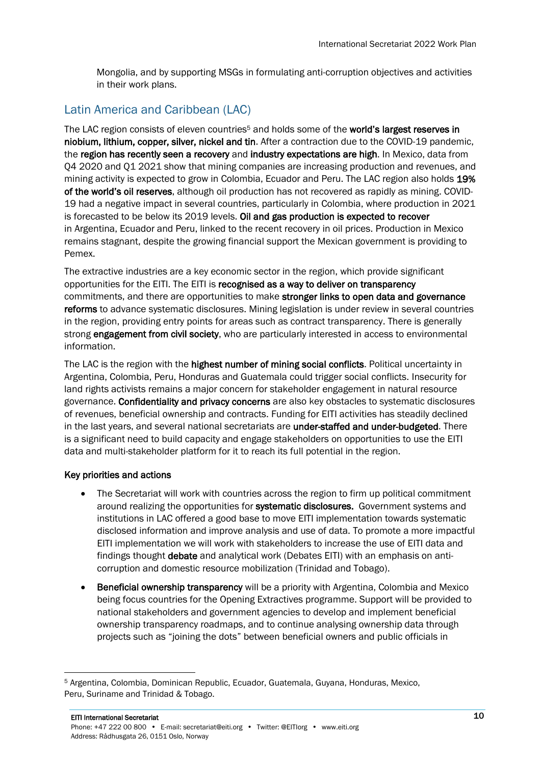Mongolia, and by supporting MSGs in formulating anti-corruption objectives and activities in their work plans.

## <span id="page-9-0"></span>Latin America and Caribbean (LAC)

The LAC region consists of eleven countries<sup>5</sup> and holds some of the **world's largest reserves in** niobium, lithium, copper, silver, nickel and tin. After a contraction due to the COVID-19 pandemic, the region has recently seen a recovery and industry expectations are high. In Mexico, data from Q4 2020 and Q1 2021 show that mining companies are increasing production and revenues, and mining activity is expected to grow in Colombia, Ecuador and Peru. The LAC region also holds 19% of the world's oil reserves, although oil production has not recovered as rapidly as mining. COVID-19 had a negative impact in several countries, particularly in Colombia, where production in 2021 is forecasted to be below its 2019 levels. Oil and gas production is expected to recover in Argentina, Ecuador and Peru, linked to the recent recovery in oil prices. Production in Mexico remains stagnant, despite the growing financial support the Mexican government is providing to Pemex.

The extractive industries are a key economic sector in the region, which provide significant opportunities for the EITI. The EITI is recognised as a way to deliver on transparency commitments, and there are opportunities to make stronger links to open data and governance reforms to advance systematic disclosures. Mining legislation is under review in several countries in the region, providing entry points for areas such as contract transparency. There is generally strong engagement from civil society, who are particularly interested in access to environmental information.

The LAC is the region with the highest number of mining social conflicts. Political uncertainty in Argentina, Colombia, Peru, Honduras and Guatemala could trigger social conflicts. Insecurity for land rights activists remains a major concern for stakeholder engagement in natural resource governance. Confidentiality and privacy concerns are also key obstacles to systematic disclosures of revenues, beneficial ownership and contracts. Funding for EITI activities has steadily declined in the last years, and several national secretariats are under-staffed and under-budgeted. There is a significant need to build capacity and engage stakeholders on opportunities to use the EITI data and multi-stakeholder platform for it to reach its full potential in the region.

#### Key priorities and actions

- The Secretariat will work with countries across the region to firm up political commitment around realizing the opportunities for systematic disclosures. Government systems and institutions in LAC offered a good base to move EITI implementation towards systematic disclosed information and improve analysis and use of data. To promote a more impactful EITI implementation we will work with stakeholders to increase the use of EITI data and findings thought debate and analytical work (Debates EITI) with an emphasis on anticorruption and domestic resource mobilization (Trinidad and Tobago).
- Beneficial ownership transparency will be a priority with Argentina, Colombia and Mexico being focus countries for the Opening Extractives programme. Support will be provided to national stakeholders and government agencies to develop and implement beneficial ownership transparency roadmaps, and to continue analysing ownership data through projects such as "joining the dots" between beneficial owners and public officials in

<sup>5</sup> Argentina, Colombia, Dominican Republic, Ecuador, Guatemala, Guyana, Honduras, Mexico, Peru, Suriname and Trinidad & Tobago.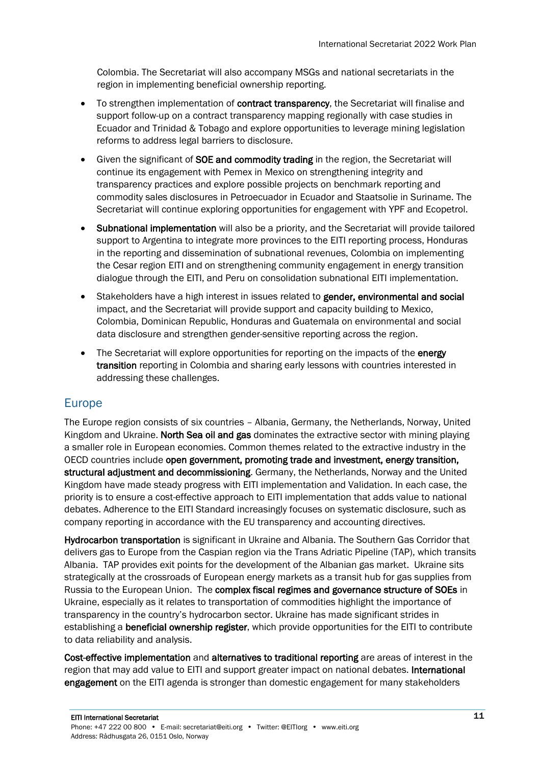Colombia. The Secretariat will also accompany MSGs and national secretariats in the region in implementing beneficial ownership reporting.

- To strengthen implementation of contract transparency, the Secretariat will finalise and support follow-up on a contract transparency mapping regionally with case studies in Ecuador and Trinidad & Tobago and explore opportunities to leverage mining legislation reforms to address legal barriers to disclosure.
- Given the significant of SOE and commodity trading in the region, the Secretariat will continue its engagement with Pemex in Mexico on strengthening integrity and transparency practices and explore possible projects on benchmark reporting and commodity sales disclosures in Petroecuador in Ecuador and Staatsolie in Suriname. The Secretariat will continue exploring opportunities for engagement with YPF and Ecopetrol.
- Subnational implementation will also be a priority, and the Secretariat will provide tailored support to Argentina to integrate more provinces to the EITI reporting process, Honduras in the reporting and dissemination of subnational revenues, Colombia on implementing the Cesar region EITI and on strengthening community engagement in energy transition dialogue through the EITI, and Peru on consolidation subnational EITI implementation.
- Stakeholders have a high interest in issues related to gender, environmental and social impact, and the Secretariat will provide support and capacity building to Mexico, Colombia, Dominican Republic, Honduras and Guatemala on environmental and social data disclosure and strengthen gender-sensitive reporting across the region.
- The Secretariat will explore opportunities for reporting on the impacts of the energy transition reporting in Colombia and sharing early lessons with countries interested in addressing these challenges.

## <span id="page-10-0"></span>Europe

The Europe region consists of six countries – Albania, Germany, the Netherlands, Norway, United Kingdom and Ukraine. North Sea oil and gas dominates the extractive sector with mining playing a smaller role in European economies. Common themes related to the extractive industry in the OECD countries include open government, promoting trade and investment, energy transition, structural adjustment and decommissioning. Germany, the Netherlands, Norway and the United Kingdom have made steady progress with EITI implementation and Validation. In each case, the priority is to ensure a cost-effective approach to EITI implementation that adds value to national debates. Adherence to the EITI Standard increasingly focuses on systematic disclosure, such as company reporting in accordance with the EU transparency and accounting directives.

Hydrocarbon transportation is significant in Ukraine and Albania. The Southern Gas Corridor that delivers gas to Europe from the Caspian region via the Trans Adriatic Pipeline (TAP), which transits Albania. TAP provides exit points for the development of the Albanian gas market. Ukraine sits strategically at the crossroads of European energy markets as a transit hub for gas supplies from Russia to the European Union. The complex fiscal regimes and governance structure of SOEs in Ukraine, especially as it relates to transportation of commodities highlight the importance of transparency in the country's hydrocarbon sector. Ukraine has made significant strides in establishing a beneficial ownership register, which provide opportunities for the EITI to contribute to data reliability and analysis.

Cost-effective implementation and alternatives to traditional reporting are areas of interest in the region that may add value to EITI and support greater impact on national debates. International engagement on the EITI agenda is stronger than domestic engagement for many stakeholders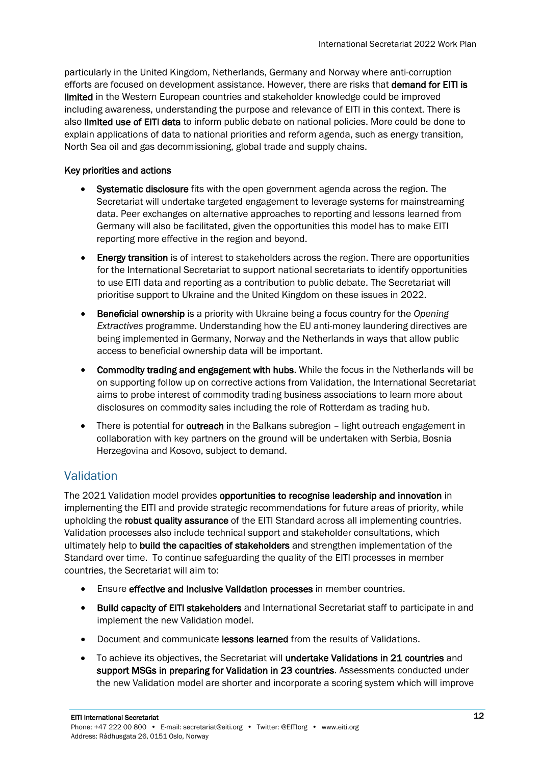particularly in the United Kingdom, Netherlands, Germany and Norway where anti-corruption efforts are focused on development assistance. However, there are risks that demand for EITI is limited in the Western European countries and stakeholder knowledge could be improved including awareness, understanding the purpose and relevance of EITI in this context. There is also limited use of EITI data to inform public debate on national policies. More could be done to explain applications of data to national priorities and reform agenda, such as energy transition, North Sea oil and gas decommissioning, global trade and supply chains.

#### Key priorities and actions

- Systematic disclosure fits with the open government agenda across the region. The Secretariat will undertake targeted engagement to leverage systems for mainstreaming data. Peer exchanges on alternative approaches to reporting and lessons learned from Germany will also be facilitated, given the opportunities this model has to make EITI reporting more effective in the region and beyond.
- Energy transition is of interest to stakeholders across the region. There are opportunities for the International Secretariat to support national secretariats to identify opportunities to use EITI data and reporting as a contribution to public debate. The Secretariat will prioritise support to Ukraine and the United Kingdom on these issues in 2022.
- Beneficial ownership is a priority with Ukraine being a focus country for the *Opening Extractives* programme. Understanding how the EU anti-money laundering directives are being implemented in Germany, Norway and the Netherlands in ways that allow public access to beneficial ownership data will be important.
- Commodity trading and engagement with hubs. While the focus in the Netherlands will be on supporting follow up on corrective actions from Validation, the International Secretariat aims to probe interest of commodity trading business associations to learn more about disclosures on commodity sales including the role of Rotterdam as trading hub.
- There is potential for **outreach** in the Balkans subregion light outreach engagement in collaboration with key partners on the ground will be undertaken with Serbia, Bosnia Herzegovina and Kosovo, subject to demand.

# <span id="page-11-0"></span>Validation

The 2021 Validation model provides opportunities to recognise leadership and innovation in implementing the EITI and provide strategic recommendations for future areas of priority, while upholding the robust quality assurance of the EITI Standard across all implementing countries. Validation processes also include technical support and stakeholder consultations, which ultimately help to build the capacities of stakeholders and strengthen implementation of the Standard over time. To continue safeguarding the quality of the EITI processes in member countries, the Secretariat will aim to:

- Ensure effective and inclusive Validation processes in member countries.
- Build capacity of EITI stakeholders and International Secretariat staff to participate in and implement the new Validation model.
- Document and communicate lessons learned from the results of Validations.
- To achieve its objectives, the Secretariat will undertake Validations in 21 countries and support MSGs in preparing for Validation in 23 countries. Assessments conducted under the new Validation model are shorter and incorporate a scoring system which will improve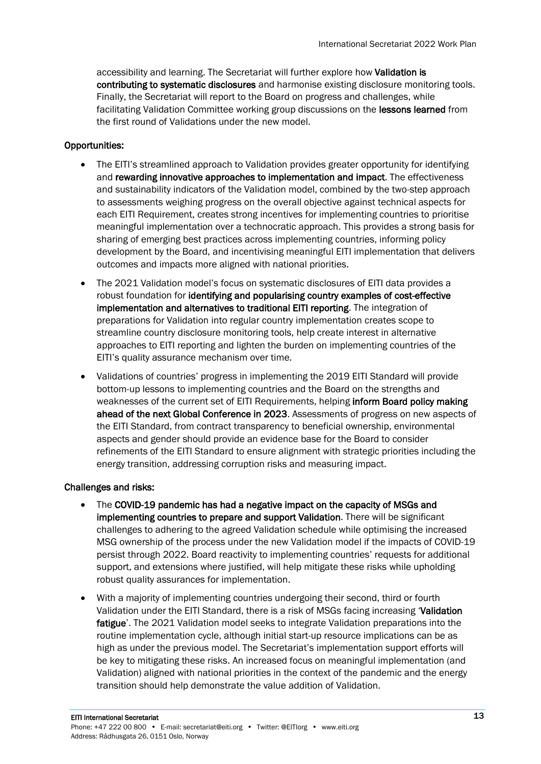accessibility and learning. The Secretariat will further explore how Validation is contributing to systematic disclosures and harmonise existing disclosure monitoring tools. Finally, the Secretariat will report to the Board on progress and challenges, while facilitating Validation Committee working group discussions on the lessons learned from the first round of Validations under the new model.

#### Opportunities:

- The EITI's streamlined approach to Validation provides greater opportunity for identifying and rewarding innovative approaches to implementation and impact. The effectiveness and sustainability indicators of the Validation model, combined by the two-step approach to assessments weighing progress on the overall objective against technical aspects for each EITI Requirement, creates strong incentives for implementing countries to prioritise meaningful implementation over a technocratic approach. This provides a strong basis for sharing of emerging best practices across implementing countries, informing policy development by the Board, and incentivising meaningful EITI implementation that delivers outcomes and impacts more aligned with national priorities.
- The 2021 Validation model's focus on systematic disclosures of EITI data provides a robust foundation for identifying and popularising country examples of cost-effective implementation and alternatives to traditional EITI reporting. The integration of preparations for Validation into regular country implementation creates scope to streamline country disclosure monitoring tools, help create interest in alternative approaches to EITI reporting and lighten the burden on implementing countries of the EITI's quality assurance mechanism over time.
- Validations of countries' progress in implementing the 2019 EITI Standard will provide bottom-up lessons to implementing countries and the Board on the strengths and weaknesses of the current set of EITI Requirements, helping inform Board policy making ahead of the next Global Conference in 2023. Assessments of progress on new aspects of the EITI Standard, from contract transparency to beneficial ownership, environmental aspects and gender should provide an evidence base for the Board to consider refinements of the EITI Standard to ensure alignment with strategic priorities including the energy transition, addressing corruption risks and measuring impact.

#### Challenges and risks:

- The COVID-19 pandemic has had a negative impact on the capacity of MSGs and implementing countries to prepare and support Validation. There will be significant challenges to adhering to the agreed Validation schedule while optimising the increased MSG ownership of the process under the new Validation model if the impacts of COVID-19 persist through 2022. Board reactivity to implementing countries' requests for additional support, and extensions where justified, will help mitigate these risks while upholding robust quality assurances for implementation.
- With a majority of implementing countries undergoing their second, third or fourth Validation under the EITI Standard, there is a risk of MSGs facing increasing 'Validation fatigue'. The 2021 Validation model seeks to integrate Validation preparations into the routine implementation cycle, although initial start-up resource implications can be as high as under the previous model. The Secretariat's implementation support efforts will be key to mitigating these risks. An increased focus on meaningful implementation (and Validation) aligned with national priorities in the context of the pandemic and the energy transition should help demonstrate the value addition of Validation.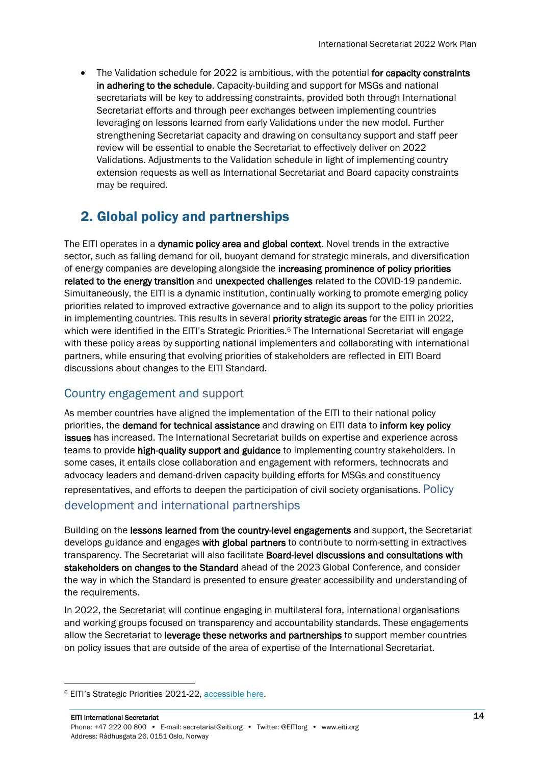• The Validation schedule for 2022 is ambitious, with the potential for capacity constraints in adhering to the schedule. Capacity-building and support for MSGs and national secretariats will be key to addressing constraints, provided both through International Secretariat efforts and through peer exchanges between implementing countries leveraging on lessons learned from early Validations under the new model. Further strengthening Secretariat capacity and drawing on consultancy support and staff peer review will be essential to enable the Secretariat to effectively deliver on 2022 Validations. Adjustments to the Validation schedule in light of implementing country extension requests as well as International Secretariat and Board capacity constraints may be required.

# 2. Global policy and partnerships

The EITI operates in a dynamic policy area and global context. Novel trends in the extractive sector, such as falling demand for oil, buoyant demand for strategic minerals, and diversification of energy companies are developing alongside the increasing prominence of policy priorities related to the energy transition and unexpected challenges related to the COVID-19 pandemic. Simultaneously, the EITI is a dynamic institution, continually working to promote emerging policy priorities related to improved extractive governance and to align its support to the policy priorities in implementing countries. This results in several priority strategic areas for the EITI in 2022, which were identified in the EITI's Strategic Priorities.<sup>6</sup> The International Secretariat will engage with these policy areas by supporting national implementers and collaborating with international partners, while ensuring that evolving priorities of stakeholders are reflected in EITI Board discussions about changes to the EITI Standard.

# <span id="page-13-0"></span>Country engagement and support

As member countries have aligned the implementation of the EITI to their national policy priorities, the demand for technical assistance and drawing on EITI data to inform key policy issues has increased. The International Secretariat builds on expertise and experience across teams to provide high-quality support and guidance to implementing country stakeholders. In some cases, it entails close collaboration and engagement with reformers, technocrats and advocacy leaders and demand-driven capacity building efforts for MSGs and constituency representatives, and efforts to deepen the participation of civil society organisations. Policy development and international partnerships

Building on the lessons learned from the country-level engagements and support, the Secretariat develops guidance and engages with global partners to contribute to norm-setting in extractives transparency. The Secretariat will also facilitate Board-level discussions and consultations with stakeholders on changes to the Standard ahead of the 2023 Global Conference, and consider the way in which the Standard is presented to ensure greater accessibility and understanding of the requirements.

In 2022, the Secretariat will continue engaging in multilateral fora, international organisations and working groups focused on transparency and accountability standards. These engagements allow the Secretariat to leverage these networks and partnerships to support member countries on policy issues that are outside of the area of expertise of the International Secretariat.

<sup>6</sup> EITI's Strategic Priorities 2021-22[, accessible here.](https://eiti.org/files/documents/eitis_2021-2022_strategic_priorities_final.pdf)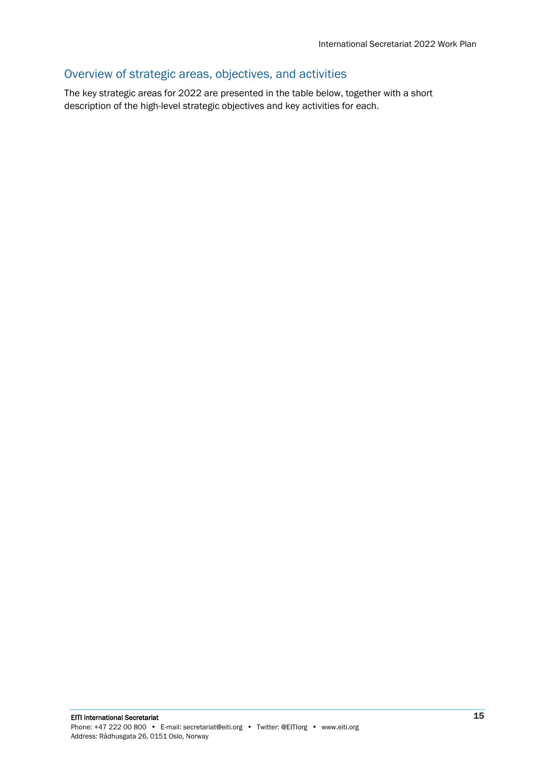# <span id="page-14-0"></span>Overview of strategic areas, objectives, and activities

The key strategic areas for 2022 are presented in the table below, together with a short description of the high-level strategic objectives and key activities for each.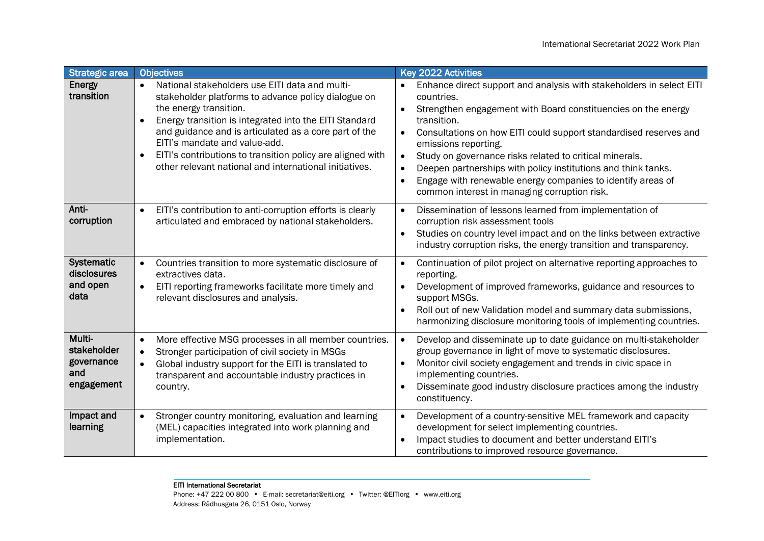| <b>Strategic area</b>                                    | <b>Objectives</b>                                                                                                                                                                                                                                                                                                                                                                                                                                  | <b>Key 2022 Activities</b>                                                                                                                                                                                                                                                                                                                                                                                                                                                                                                                        |
|----------------------------------------------------------|----------------------------------------------------------------------------------------------------------------------------------------------------------------------------------------------------------------------------------------------------------------------------------------------------------------------------------------------------------------------------------------------------------------------------------------------------|---------------------------------------------------------------------------------------------------------------------------------------------------------------------------------------------------------------------------------------------------------------------------------------------------------------------------------------------------------------------------------------------------------------------------------------------------------------------------------------------------------------------------------------------------|
| Energy<br>transition                                     | National stakeholders use EITI data and multi-<br>$\bullet$<br>stakeholder platforms to advance policy dialogue on<br>the energy transition.<br>Energy transition is integrated into the EITI Standard<br>$\bullet$<br>and guidance and is articulated as a core part of the<br>EITI's mandate and value-add.<br>EITI's contributions to transition policy are aligned with<br>$\bullet$<br>other relevant national and international initiatives. | Enhance direct support and analysis with stakeholders in select EITI<br>countries.<br>Strengthen engagement with Board constituencies on the energy<br>transition.<br>Consultations on how EITI could support standardised reserves and<br>$\bullet$<br>emissions reporting.<br>Study on governance risks related to critical minerals.<br>$\bullet$<br>Deepen partnerships with policy institutions and think tanks.<br>$\bullet$<br>Engage with renewable energy companies to identify areas of<br>common interest in managing corruption risk. |
| Anti-<br>corruption                                      | EITI's contribution to anti-corruption efforts is clearly<br>$\bullet$<br>articulated and embraced by national stakeholders.                                                                                                                                                                                                                                                                                                                       | Dissemination of lessons learned from implementation of<br>$\bullet$<br>corruption risk assessment tools<br>Studies on country level impact and on the links between extractive<br>industry corruption risks, the energy transition and transparency.                                                                                                                                                                                                                                                                                             |
| Systematic<br>disclosures<br>and open<br>data            | Countries transition to more systematic disclosure of<br>$\bullet$<br>extractives data.<br>EITI reporting frameworks facilitate more timely and<br>$\bullet$<br>relevant disclosures and analysis.                                                                                                                                                                                                                                                 | Continuation of pilot project on alternative reporting approaches to<br>$\bullet$<br>reporting.<br>Development of improved frameworks, guidance and resources to<br>$\bullet$<br>support MSGs.<br>Roll out of new Validation model and summary data submissions,<br>harmonizing disclosure monitoring tools of implementing countries.                                                                                                                                                                                                            |
| Multi-<br>stakeholder<br>governance<br>and<br>engagement | More effective MSG processes in all member countries.<br>$\bullet$<br>Stronger participation of civil society in MSGs<br>$\bullet$<br>Global industry support for the EITI is translated to<br>$\bullet$<br>transparent and accountable industry practices in<br>country.                                                                                                                                                                          | Develop and disseminate up to date guidance on multi-stakeholder<br>$\bullet$<br>group governance in light of move to systematic disclosures.<br>Monitor civil society engagement and trends in civic space in<br>implementing countries.<br>Disseminate good industry disclosure practices among the industry<br>constituency.                                                                                                                                                                                                                   |
| Impact and<br>learning                                   | Stronger country monitoring, evaluation and learning<br>$\bullet$<br>(MEL) capacities integrated into work planning and<br>implementation.                                                                                                                                                                                                                                                                                                         | Development of a country-sensitive MEL framework and capacity<br>$\bullet$<br>development for select implementing countries.<br>Impact studies to document and better understand EITI's<br>contributions to improved resource governance.                                                                                                                                                                                                                                                                                                         |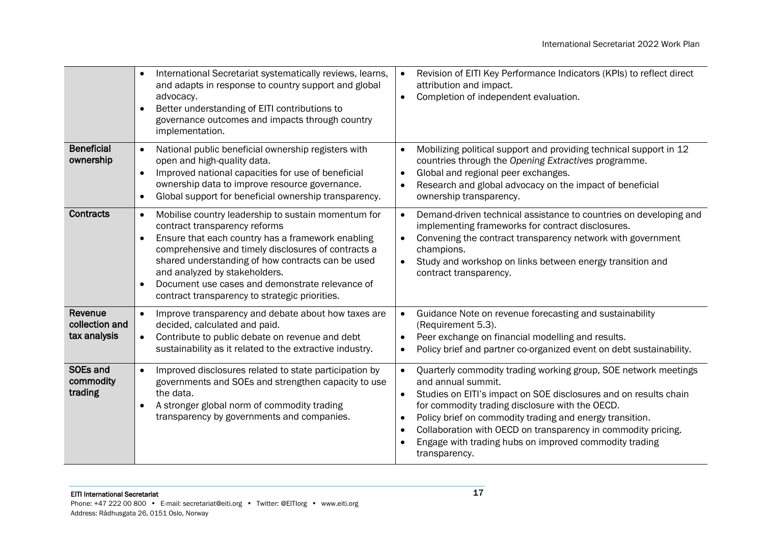|                                           | International Secretariat systematically reviews, learns,<br>$\bullet$<br>and adapts in response to country support and global<br>advocacy.<br>Better understanding of EITI contributions to<br>governance outcomes and impacts through country<br>implementation.                                                                                                                                                                 | Revision of EITI Key Performance Indicators (KPIs) to reflect direct<br>$\bullet$<br>attribution and impact.<br>Completion of independent evaluation.                                                                                                                                                                                                                                                                                                       |
|-------------------------------------------|------------------------------------------------------------------------------------------------------------------------------------------------------------------------------------------------------------------------------------------------------------------------------------------------------------------------------------------------------------------------------------------------------------------------------------|-------------------------------------------------------------------------------------------------------------------------------------------------------------------------------------------------------------------------------------------------------------------------------------------------------------------------------------------------------------------------------------------------------------------------------------------------------------|
| <b>Beneficial</b><br>ownership            | National public beneficial ownership registers with<br>$\bullet$<br>open and high-quality data.<br>Improved national capacities for use of beneficial<br>$\bullet$<br>ownership data to improve resource governance.<br>Global support for beneficial ownership transparency.<br>$\bullet$                                                                                                                                         | Mobilizing political support and providing technical support in 12<br>$\bullet$<br>countries through the Opening Extractives programme.<br>Global and regional peer exchanges.<br>$\bullet$<br>Research and global advocacy on the impact of beneficial<br>$\bullet$<br>ownership transparency.                                                                                                                                                             |
| <b>Contracts</b>                          | Mobilise country leadership to sustain momentum for<br>$\bullet$<br>contract transparency reforms<br>Ensure that each country has a framework enabling<br>$\bullet$<br>comprehensive and timely disclosures of contracts a<br>shared understanding of how contracts can be used<br>and analyzed by stakeholders.<br>Document use cases and demonstrate relevance of<br>$\bullet$<br>contract transparency to strategic priorities. | Demand-driven technical assistance to countries on developing and<br>$\bullet$<br>implementing frameworks for contract disclosures.<br>Convening the contract transparency network with government<br>$\bullet$<br>champions.<br>Study and workshop on links between energy transition and<br>contract transparency.                                                                                                                                        |
| Revenue<br>collection and<br>tax analysis | Improve transparency and debate about how taxes are<br>$\bullet$<br>decided, calculated and paid.<br>Contribute to public debate on revenue and debt<br>$\bullet$<br>sustainability as it related to the extractive industry.                                                                                                                                                                                                      | Guidance Note on revenue forecasting and sustainability<br>$\bullet$<br>(Requirement 5.3).<br>Peer exchange on financial modelling and results.<br>Policy brief and partner co-organized event on debt sustainability.<br>$\bullet$                                                                                                                                                                                                                         |
| SOEs and<br>commodity<br>trading          | Improved disclosures related to state participation by<br>$\bullet$<br>governments and SOEs and strengthen capacity to use<br>the data.<br>A stronger global norm of commodity trading<br>transparency by governments and companies.                                                                                                                                                                                               | Quarterly commodity trading working group, SOE network meetings<br>$\bullet$<br>and annual summit.<br>Studies on EITI's impact on SOE disclosures and on results chain<br>for commodity trading disclosure with the OECD.<br>Policy brief on commodity trading and energy transition.<br>$\bullet$<br>Collaboration with OECD on transparency in commodity pricing.<br>$\bullet$<br>Engage with trading hubs on improved commodity trading<br>transparency. |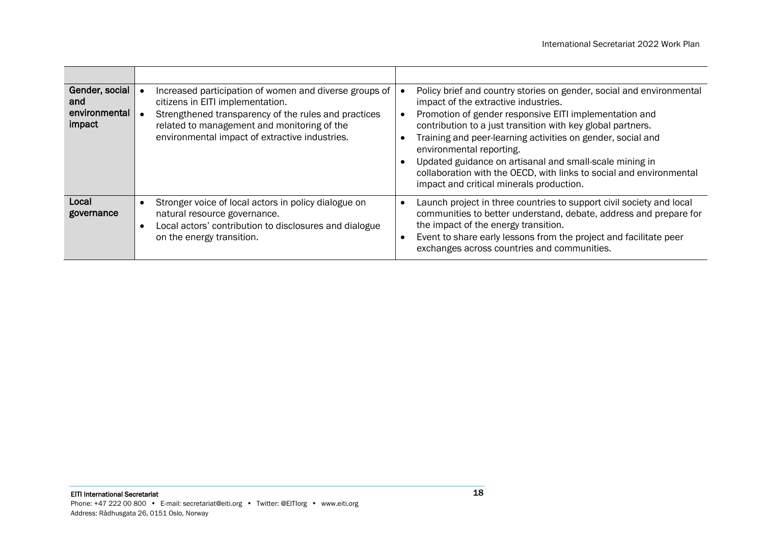| Gender, social<br>and<br>environmental<br>impact | Increased participation of women and diverse groups of<br>citizens in EITI implementation.<br>Strengthened transparency of the rules and practices<br>related to management and monitoring of the<br>environmental impact of extractive industries. | Policy brief and country stories on gender, social and environmental<br>impact of the extractive industries.<br>Promotion of gender responsive EITI implementation and<br>contribution to a just transition with key global partners.<br>Training and peer-learning activities on gender, social and<br>environmental reporting.<br>Updated guidance on artisanal and small-scale mining in<br>collaboration with the OECD, with links to social and environmental<br>impact and critical minerals production. |
|--------------------------------------------------|-----------------------------------------------------------------------------------------------------------------------------------------------------------------------------------------------------------------------------------------------------|----------------------------------------------------------------------------------------------------------------------------------------------------------------------------------------------------------------------------------------------------------------------------------------------------------------------------------------------------------------------------------------------------------------------------------------------------------------------------------------------------------------|
| Local<br>governance                              | Stronger voice of local actors in policy dialogue on<br>natural resource governance.<br>Local actors' contribution to disclosures and dialogue<br>on the energy transition.                                                                         | Launch project in three countries to support civil society and local<br>communities to better understand, debate, address and prepare for<br>the impact of the energy transition.<br>Event to share early lessons from the project and facilitate peer<br>exchanges across countries and communities.                                                                                                                                                                                                          |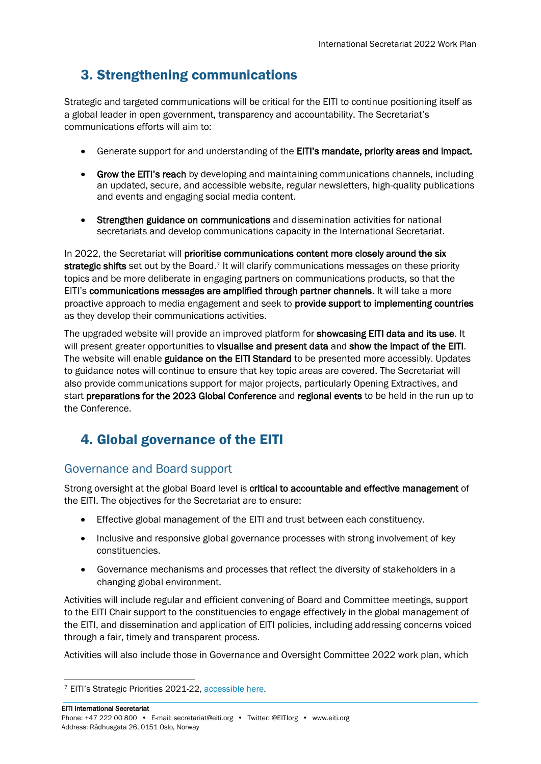# 3. Strengthening communications

Strategic and targeted communications will be critical for the EITI to continue positioning itself as a global leader in open government, transparency and accountability. The Secretariat's communications efforts will aim to:

- Generate support for and understanding of the EITI's mandate, priority areas and impact.
- Grow the EITI's reach by developing and maintaining communications channels, including an updated, secure, and accessible website, regular newsletters, high-quality publications and events and engaging social media content.
- Strengthen guidance on communications and dissemination activities for national secretariats and develop communications capacity in the International Secretariat.

In 2022, the Secretariat will prioritise communications content more closely around the six strategic shifts set out by the Board.<sup>7</sup> It will clarify communications messages on these priority topics and be more deliberate in engaging partners on communications products, so that the EITI's communications messages are amplified through partner channels. It will take a more proactive approach to media engagement and seek to provide support to implementing countries as they develop their communications activities.

The upgraded website will provide an improved platform for **showcasing EITI data and its use**. It will present greater opportunities to **visualise and present data** and **show the impact of the EITI**. The website will enable guidance on the EITI Standard to be presented more accessibly. Updates to guidance notes will continue to ensure that key topic areas are covered. The Secretariat will also provide communications support for major projects, particularly Opening Extractives, and start preparations for the 2023 Global Conference and regional events to be held in the run up to the Conference.

# 4. Global governance of the EITI

# <span id="page-18-0"></span>Governance and Board support

Strong oversight at the global Board level is critical to accountable and effective management of the EITI. The objectives for the Secretariat are to ensure:

- Effective global management of the EITI and trust between each constituency.
- Inclusive and responsive global governance processes with strong involvement of key constituencies.
- Governance mechanisms and processes that reflect the diversity of stakeholders in a changing global environment.

Activities will include regular and efficient convening of Board and Committee meetings, support to the EITI Chair support to the constituencies to engage effectively in the global management of the EITI, and dissemination and application of EITI policies, including addressing concerns voiced through a fair, timely and transparent process.

Activities will also include those in Governance and Oversight Committee 2022 work plan, which

<sup>7</sup> EITI's Strategic Priorities 2021-22[, accessible here.](https://eiti.org/files/documents/eitis_2021-2022_strategic_priorities_final.pdf)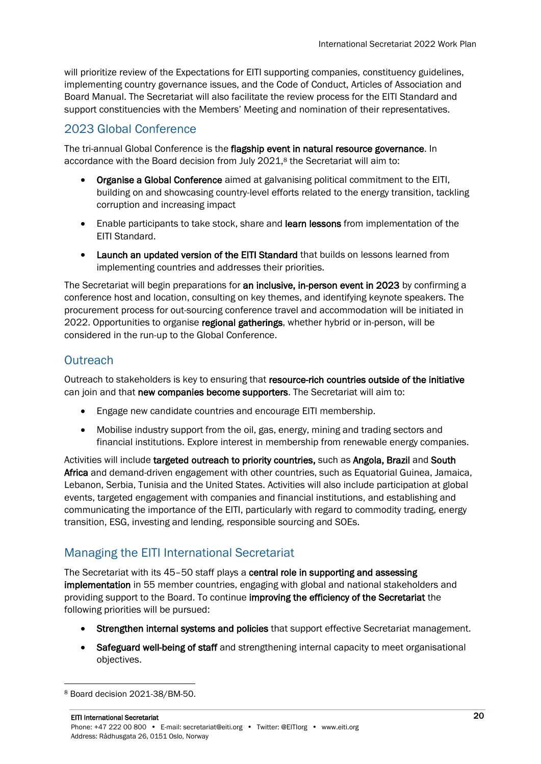will prioritize review of the Expectations for EITI supporting companies, constituency guidelines, implementing country governance issues, and the Code of Conduct, Articles of Association and Board Manual. The Secretariat will also facilitate the review process for the EITI Standard and support constituencies with the Members' Meeting and nomination of their representatives.

## <span id="page-19-0"></span>2023 Global Conference

The tri-annual Global Conference is the flagship event in natural resource governance. In accordance with the Board decision from July 2021, <sup>8</sup> the Secretariat will aim to:

- Organise a Global Conference aimed at galvanising political commitment to the EITI, building on and showcasing country-level efforts related to the energy transition, tackling corruption and increasing impact
- Enable participants to take stock, share and learn lessons from implementation of the EITI Standard.
- Launch an updated version of the EITI Standard that builds on lessons learned from implementing countries and addresses their priorities.

The Secretariat will begin preparations for an inclusive, in-person event in 2023 by confirming a conference host and location, consulting on key themes, and identifying keynote speakers. The procurement process for out-sourcing conference travel and accommodation will be initiated in 2022. Opportunities to organise regional gatherings, whether hybrid or in-person, will be considered in the run-up to the Global Conference.

# <span id="page-19-1"></span>**Outreach**

Outreach to stakeholders is key to ensuring that resource-rich countries outside of the initiative can join and that new companies become supporters. The Secretariat will aim to:

- Engage new candidate countries and encourage EITI membership.
- Mobilise industry support from the oil, gas, energy, mining and trading sectors and financial institutions. Explore interest in membership from renewable energy companies.

Activities will include targeted outreach to priority countries, such as Angola, Brazil and South Africa and demand-driven engagement with other countries, such as Equatorial Guinea, Jamaica, Lebanon, Serbia, Tunisia and the United States. Activities will also include participation at global events, targeted engagement with companies and financial institutions, and establishing and communicating the importance of the EITI, particularly with regard to commodity trading, energy transition, ESG, investing and lending, responsible sourcing and SOEs.

# <span id="page-19-2"></span>Managing the EITI International Secretariat

The Secretariat with its 45–50 staff plays a central role in supporting and assessing implementation in 55 member countries, engaging with global and national stakeholders and providing support to the Board. To continue improving the efficiency of the Secretariat the following priorities will be pursued:

- Strengthen internal systems and policies that support effective Secretariat management.
- Safeguard well-being of staff and strengthening internal capacity to meet organisational objectives.

<sup>8</sup> Board decision 2021-38/BM-50.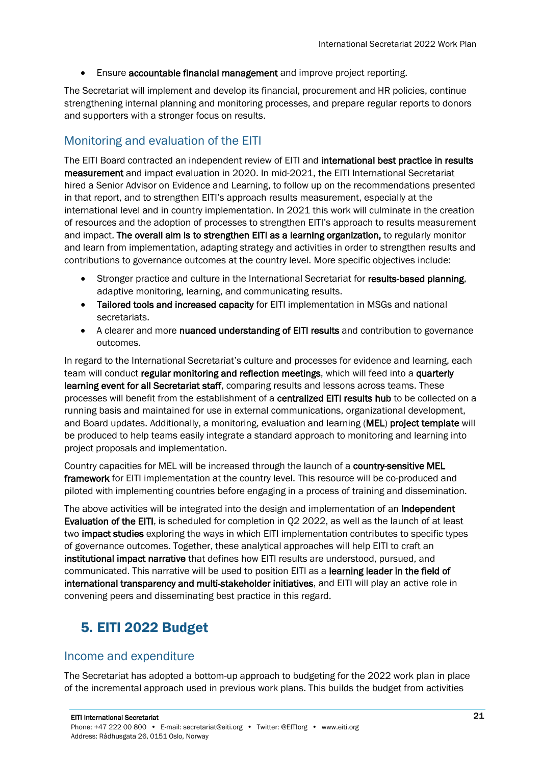• Ensure accountable financial management and improve project reporting.

The Secretariat will implement and develop its financial, procurement and HR policies, continue strengthening internal planning and monitoring processes, and prepare regular reports to donors and supporters with a stronger focus on results.

## <span id="page-20-0"></span>Monitoring and evaluation of the EITI

The EITI Board contracted an independent review of EITI and international best practice in results measurement and impact evaluation in 2020. In mid-2021, the EITI International Secretariat hired a Senior Advisor on Evidence and Learning, to follow up on the recommendations presented in that report, and to strengthen EITI's approach results measurement, especially at the international level and in country implementation. In 2021 this work will culminate in the creation of resources and the adoption of processes to strengthen EITI's approach to results measurement and impact. The overall aim is to strengthen EITI as a learning organization, to regularly monitor and learn from implementation, adapting strategy and activities in order to strengthen results and contributions to governance outcomes at the country level. More specific objectives include:

- Stronger practice and culture in the International Secretariat for results-based planning, adaptive monitoring, learning, and communicating results.
- Tailored tools and increased capacity for EITI implementation in MSGs and national secretariats.
- A clearer and more nuanced understanding of EITI results and contribution to governance outcomes.

In regard to the International Secretariat's culture and processes for evidence and learning, each team will conduct regular monitoring and reflection meetings, which will feed into a quarterly learning event for all Secretariat staff, comparing results and lessons across teams. These processes will benefit from the establishment of a centralized EITI results hub to be collected on a running basis and maintained for use in external communications, organizational development, and Board updates. Additionally, a monitoring, evaluation and learning (MEL) project template will be produced to help teams easily integrate a standard approach to monitoring and learning into project proposals and implementation.

Country capacities for MEL will be increased through the launch of a country-sensitive MEL **framework** for EITI implementation at the country level. This resource will be co-produced and piloted with implementing countries before engaging in a process of training and dissemination.

The above activities will be integrated into the design and implementation of an **Independent** Evaluation of the EITI, is scheduled for completion in Q2 2022, as well as the launch of at least two impact studies exploring the ways in which EITI implementation contributes to specific types of governance outcomes. Together, these analytical approaches will help EITI to craft an institutional impact narrative that defines how EITI results are understood, pursued, and communicated. This narrative will be used to position EITI as a learning leader in the field of international transparency and multi-stakeholder initiatives, and EITI will play an active role in convening peers and disseminating best practice in this regard.

# 5. EITI 2022 Budget

## <span id="page-20-1"></span>Income and expenditure

The Secretariat has adopted a bottom-up approach to budgeting for the 2022 work plan in place of the incremental approach used in previous work plans. This builds the budget from activities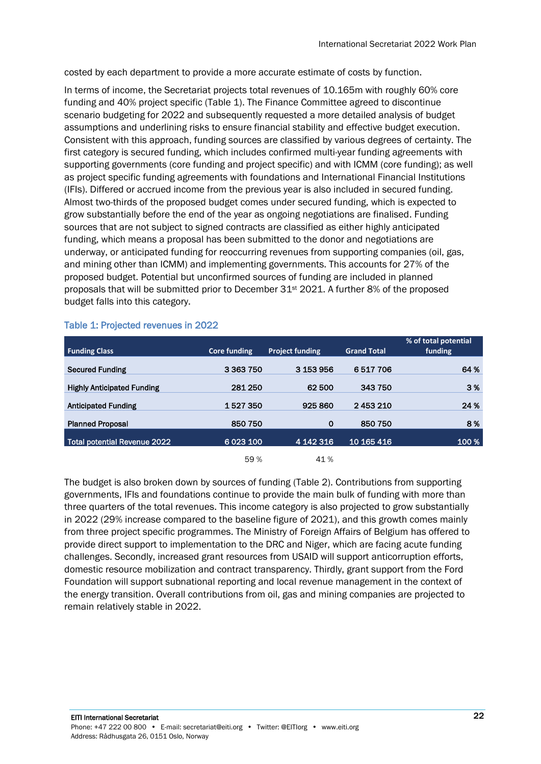costed by each department to provide a more accurate estimate of costs by function.

In terms of income, the Secretariat projects total revenues of 10.165m with roughly 60% core funding and 40% project specific (Table 1). The Finance Committee agreed to discontinue scenario budgeting for 2022 and subsequently requested a more detailed analysis of budget assumptions and underlining risks to ensure financial stability and effective budget execution. Consistent with this approach, funding sources are classified by various degrees of certainty. The first category is secured funding, which includes confirmed multi-year funding agreements with supporting governments (core funding and project specific) and with ICMM (core funding); as well as project specific funding agreements with foundations and International Financial Institutions (IFIs). Differed or accrued income from the previous year is also included in secured funding. Almost two-thirds of the proposed budget comes under secured funding, which is expected to grow substantially before the end of the year as ongoing negotiations are finalised. Funding sources that are not subject to signed contracts are classified as either highly anticipated funding, which means a proposal has been submitted to the donor and negotiations are underway, or anticipated funding for reoccurring revenues from supporting companies (oil, gas, and mining other than ICMM) and implementing governments. This accounts for 27% of the proposed budget. Potential but unconfirmed sources of funding are included in planned proposals that will be submitted prior to December 31st 2021. A further 8% of the proposed budget falls into this category.

| <b>Funding Class</b>                | <b>Core funding</b> | <b>Project funding</b> | <b>Grand Total</b> | % of total potential<br>funding |
|-------------------------------------|---------------------|------------------------|--------------------|---------------------------------|
| <b>Secured Funding</b>              | 3 3 6 3 7 5 0       | 3 153 956              | 6517706            | 64 %                            |
| <b>Highly Anticipated Funding</b>   | 281 250             | 62 500                 | 343750             | 3%                              |
| <b>Anticipated Funding</b>          | 1527350             | 925 860                | 2453210            | 24 %                            |
| <b>Planned Proposal</b>             | 850 750             | $\mathbf 0$            | 850 750            | 8%                              |
| <b>Total potential Revenue 2022</b> | 6 0 23 100          | 4 142 316              | 10 165 416         | 100 %                           |
|                                     | 59%                 | 41 %                   |                    |                                 |

## Table 1: Projected revenues in 2022

The budget is also broken down by sources of funding (Table 2). Contributions from supporting governments, IFIs and foundations continue to provide the main bulk of funding with more than three quarters of the total revenues. This income category is also projected to grow substantially in 2022 (29% increase compared to the baseline figure of 2021), and this growth comes mainly from three project specific programmes. The Ministry of Foreign Affairs of Belgium has offered to provide direct support to implementation to the DRC and Niger, which are facing acute funding challenges. Secondly, increased grant resources from USAID will support anticorruption efforts, domestic resource mobilization and contract transparency. Thirdly, grant support from the Ford Foundation will support subnational reporting and local revenue management in the context of the energy transition. Overall contributions from oil, gas and mining companies are projected to remain relatively stable in 2022.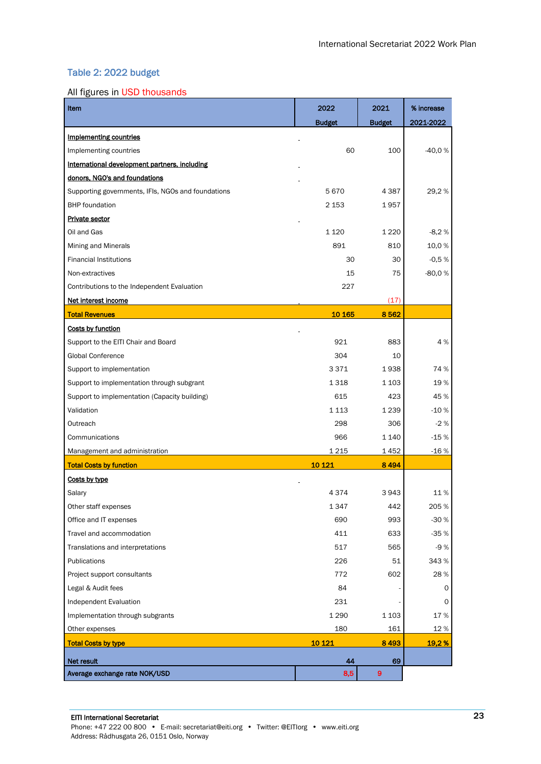### Table 2: 2022 budget

#### All figures in USD thousands

| Item                                               | 2022            | % increase       |           |
|----------------------------------------------------|-----------------|------------------|-----------|
|                                                    | <b>Budget</b>   | <b>Budget</b>    | 2021-2022 |
| <b>Implementing countries</b>                      |                 |                  |           |
| Implementing countries                             | 60              | 100              | $-40,0%$  |
| International development partners, including      |                 |                  |           |
| donors, NGO's and foundations                      |                 |                  |           |
| Supporting governments, IFIs, NGOs and foundations | 5670            | 4 3 8 7          | 29,2%     |
| <b>BHP</b> foundation                              | 2 153           | 1957             |           |
| <b>Private sector</b>                              |                 |                  |           |
| Oil and Gas                                        | 1 1 2 0         | 1 2 2 0          | $-8,2%$   |
| Mining and Minerals                                | 891             | 810              | 10,0%     |
| <b>Financial Institutions</b>                      | 30              | 30               | $-0,5%$   |
| Non-extractives                                    | 15              | 75               | $-80,0%$  |
| Contributions to the Independent Evaluation        | 227             |                  |           |
| Net interest income                                |                 | (17)             |           |
| <b>Total Revenues</b>                              | 10 165          | 8562             |           |
| Costs by function                                  |                 |                  |           |
| Support to the EITI Chair and Board                | 921             | 883              | 4%        |
| <b>Global Conference</b>                           | 304             | 10               |           |
| Support to implementation                          | 3371            | 1938             | 74 %      |
| Support to implementation through subgrant         | 1 3 1 8         | 1 103            | 19%       |
| Support to implementation (Capacity building)      | 615             | 423              | 45 %      |
| Validation                                         | 1 1 1 3         | 1 2 3 9          | $-10%$    |
| Outreach                                           | 298<br>306      |                  | $-2%$     |
| Communications                                     | 966             | 1 140            | $-15%$    |
| Management and administration                      | 1 2 1 5<br>1452 |                  | $-16%$    |
| <b>Total Costs by function</b>                     | 10 1 21         | 8494             |           |
| Costs by type                                      |                 |                  |           |
| Salary                                             | 4 3 7 4         | 3943             | 11%       |
| Other staff expenses                               | 1 347           | 442              | 205 %     |
| Office and IT expenses                             | 993<br>690      |                  | $-30%$    |
| Travel and accommodation                           | 411<br>633      |                  | $-35%$    |
| Translations and interpretations                   | 517<br>565      |                  | $-9%$     |
| Publications                                       | 226<br>51       |                  | 343 %     |
| Project support consultants                        | 602<br>772      |                  | 28%       |
| Legal & Audit fees                                 | 84              |                  | 0         |
| Independent Evaluation                             | 231             |                  | 0         |
| Implementation through subgrants                   | 1 2 9 0         | 1 1 0 3          | 17%       |
| Other expenses                                     | 180             | 161              | 12%       |
| <b>Total Costs by type</b>                         | 10 1 21         | 8493             | 19,2%     |
| Net result                                         | 44              | 69               |           |
| Average exchange rate NOK/USD                      | 8,5             | $\boldsymbol{9}$ |           |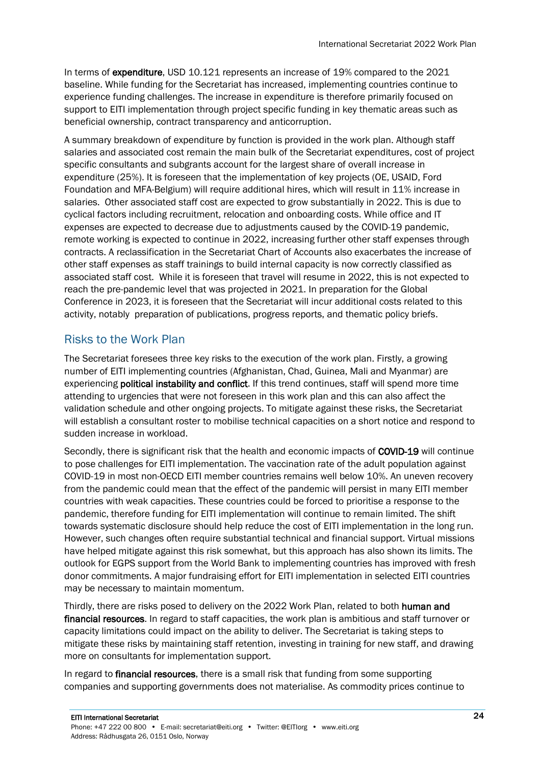In terms of expenditure, USD 10.121 represents an increase of 19% compared to the 2021 baseline. While funding for the Secretariat has increased, implementing countries continue to experience funding challenges. The increase in expenditure is therefore primarily focused on support to EITI implementation through project specific funding in key thematic areas such as beneficial ownership, contract transparency and anticorruption.

A summary breakdown of expenditure by function is provided in the work plan. Although staff salaries and associated cost remain the main bulk of the Secretariat expenditures, cost of project specific consultants and subgrants account for the largest share of overall increase in expenditure (25%). It is foreseen that the implementation of key projects (OE, USAID, Ford Foundation and MFA-Belgium) will require additional hires, which will result in 11% increase in salaries. Other associated staff cost are expected to grow substantially in 2022. This is due to cyclical factors including recruitment, relocation and onboarding costs. While office and IT expenses are expected to decrease due to adjustments caused by the COVID-19 pandemic, remote working is expected to continue in 2022, increasing further other staff expenses through contracts. A reclassification in the Secretariat Chart of Accounts also exacerbates the increase of other staff expenses as staff trainings to build internal capacity is now correctly classified as associated staff cost. While it is foreseen that travel will resume in 2022, this is not expected to reach the pre-pandemic level that was projected in 2021. In preparation for the Global Conference in 2023, it is foreseen that the Secretariat will incur additional costs related to this activity, notably preparation of publications, progress reports, and thematic policy briefs.

# <span id="page-23-0"></span>Risks to the Work Plan

The Secretariat foresees three key risks to the execution of the work plan. Firstly, a growing number of EITI implementing countries (Afghanistan, Chad, Guinea, Mali and Myanmar) are experiencing **political instability and conflict**. If this trend continues, staff will spend more time attending to urgencies that were not foreseen in this work plan and this can also affect the validation schedule and other ongoing projects. To mitigate against these risks, the Secretariat will establish a consultant roster to mobilise technical capacities on a short notice and respond to sudden increase in workload.

Secondly, there is significant risk that the health and economic impacts of COVID-19 will continue to pose challenges for EITI implementation. The vaccination rate of the adult population against COVID-19 in most non-OECD EITI member countries remains well below 10%. An uneven recovery from the pandemic could mean that the effect of the pandemic will persist in many EITI member countries with weak capacities. These countries could be forced to prioritise a response to the pandemic, therefore funding for EITI implementation will continue to remain limited. The shift towards systematic disclosure should help reduce the cost of EITI implementation in the long run. However, such changes often require substantial technical and financial support. Virtual missions have helped mitigate against this risk somewhat, but this approach has also shown its limits. The outlook for EGPS support from the World Bank to implementing countries has improved with fresh donor commitments. A major fundraising effort for EITI implementation in selected EITI countries may be necessary to maintain momentum.

Thirdly, there are risks posed to delivery on the 2022 Work Plan, related to both human and financial resources. In regard to staff capacities, the work plan is ambitious and staff turnover or capacity limitations could impact on the ability to deliver. The Secretariat is taking steps to mitigate these risks by maintaining staff retention, investing in training for new staff, and drawing more on consultants for implementation support.

In regard to **financial resources**, there is a small risk that funding from some supporting companies and supporting governments does not materialise. As commodity prices continue to